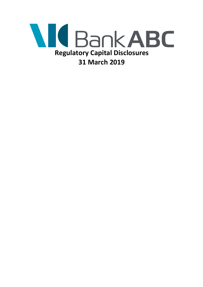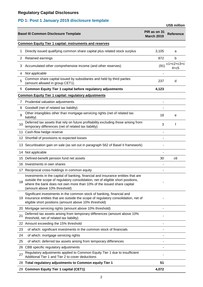# **PD 1: Post 1 January 2019 disclosure template**

| <b>US\$ million</b>                                           |                                                                                                                                                                                                                                                                              |                                   |                          |  |
|---------------------------------------------------------------|------------------------------------------------------------------------------------------------------------------------------------------------------------------------------------------------------------------------------------------------------------------------------|-----------------------------------|--------------------------|--|
|                                                               | <b>Basel III Common Disclosure Template</b>                                                                                                                                                                                                                                  | PIR as on 31<br><b>March 2019</b> | <b>Reference</b>         |  |
| <b>Common Equity Tier 1 capital: instruments and reserves</b> |                                                                                                                                                                                                                                                                              |                                   |                          |  |
| 1                                                             | Directly issued qualifying common share capital plus related stock surplus                                                                                                                                                                                                   | 3,105                             | a                        |  |
| 2                                                             | Retained earnings                                                                                                                                                                                                                                                            | 872                               | b                        |  |
| 3                                                             | Accumulated other comprehensive income (and other reserves)                                                                                                                                                                                                                  | (91)                              | $c1+c2+c3+c$<br>$4 + c5$ |  |
| 4                                                             | Not applicable                                                                                                                                                                                                                                                               |                                   |                          |  |
| 5                                                             | Common share capital issued by subsidiaries and held by third parties<br>(amount allowed in group CET1)                                                                                                                                                                      | 237                               | d                        |  |
| 6                                                             | <b>Common Equity Tier 1 capital before regulatory adjustments</b>                                                                                                                                                                                                            | 4,123                             |                          |  |
|                                                               | <b>Common Equity Tier 1 capital: regulatory adjustments</b>                                                                                                                                                                                                                  |                                   |                          |  |
| 7                                                             | Prudential valuation adjustments                                                                                                                                                                                                                                             |                                   |                          |  |
| 8                                                             | Goodwill (net of related tax liability)                                                                                                                                                                                                                                      |                                   |                          |  |
| 9                                                             | Other intangibles other than mortgage-servicing rights (net of related tax<br>liability)                                                                                                                                                                                     | 18                                | е                        |  |
| 10                                                            | Deferred tax assets that rely on future profitability excluding those arising from<br>temporary differences (net of related tax liability)                                                                                                                                   | 3                                 | f                        |  |
|                                                               | 11 Cash-flow hedge reserve                                                                                                                                                                                                                                                   |                                   |                          |  |
|                                                               | 12 Shortfall of provisions to expected losses                                                                                                                                                                                                                                |                                   |                          |  |
|                                                               | 13 Securitisation gain on sale (as set out in paragraph 562 of Basel II framework)                                                                                                                                                                                           |                                   |                          |  |
|                                                               | 14 Not applicable                                                                                                                                                                                                                                                            |                                   |                          |  |
|                                                               | 15 Defined-benefit pension fund net assets                                                                                                                                                                                                                                   | 30                                | c6                       |  |
|                                                               | 16 Investments in own shares                                                                                                                                                                                                                                                 |                                   |                          |  |
|                                                               | 17 Reciprocal cross-holdings in common equity                                                                                                                                                                                                                                |                                   |                          |  |
| 18                                                            | Investments in the capital of banking, financial and insurance entities that are<br>outside the scope of regulatory consolidation, net of eligible short positions,<br>where the bank does not own more than 10% of the issued share capital<br>(amount above 10% threshold) |                                   |                          |  |
|                                                               | Significant investments in the common stock of banking, financial and<br>19 insurance entities that are outside the scope of regulatory consolidation, net of<br>eligible short positions (amount above 10% threshold)                                                       |                                   |                          |  |
|                                                               | 20 Mortgage servicing rights (amount above 10% threshold)                                                                                                                                                                                                                    |                                   |                          |  |
| 21                                                            | Deferred tax assets arising from temporary differences (amount above 10%<br>threshold, net of related tax liability)                                                                                                                                                         |                                   |                          |  |
|                                                               | 22 Amount exceeding the 15% threshold                                                                                                                                                                                                                                        |                                   |                          |  |
| 23                                                            | of which: significant investments in the common stock of financials                                                                                                                                                                                                          |                                   |                          |  |
| 24                                                            | of which: mortgage servicing rights                                                                                                                                                                                                                                          |                                   |                          |  |
| 25                                                            | of which: deferred tax assets arising from temporary differences                                                                                                                                                                                                             |                                   |                          |  |
|                                                               | 26 CBB specific regulatory adjustments                                                                                                                                                                                                                                       |                                   |                          |  |
| 27                                                            | Regulatory adjustments applied to Common Equity Tier 1 due to insufficient<br>Additional Tier 1 and Tier 2 to cover deductions                                                                                                                                               |                                   |                          |  |
|                                                               | 28 Total regulatory adjustments to Common equity Tier 1                                                                                                                                                                                                                      | 51                                |                          |  |
|                                                               | 29 Common Equity Tier 1 capital (CET1)                                                                                                                                                                                                                                       | 4,072                             |                          |  |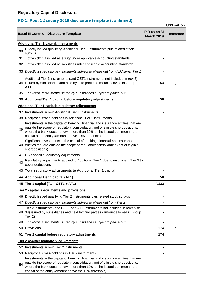### **PD 1: Post 1 January 2019 disclosure template (continued)**

**US\$ million PIR as on 31 March 2019 Reference** <sup>30</sup> Directly issued qualifying Additional Tier 1 instruments plus related stock surplus - 31 of which: classified as equity under applicable accounting standards - 32 of which: classified as liabilities under applicable accounting standards - 33 *Directly issued capital instruments subject to phase out from Additional Tier 1* - 34 issued by subsidiaries and held by third parties (amount allowed in Group Additional Tier 1 instruments (and CET1 instruments not included in row 5) AT1) 50 g 35 *of which: instruments issued by subsidiaries subject to phase out* - 36 **Additional Tier 1 capital before regulatory adjustments 50** 37 Investments in own Additional Tier 1 instruments - 38 Reciprocal cross-holdings in Additional Tier 1 instruments - 39 outside the scope of regulatory consolidation, net of eligible short positions,<br>39 where the hank dags not sum mars than 40% of the issued semmen share. Investments in the capital of banking, financial and insurance entities that are where the bank does not own more than 10% of the issued common share capital of the entity (amount above 10% threshold) - 100 million 40 entities that are outside the scope of regulatory consolidation (net of eligible Significant investments in the capital of banking, financial and insurance short positions) - 100 million 41 CBB specific regulatory adjustments <sup>42</sup> Regulatory adjustments applied to Additional Tier 1 due to insufficient Tier 2 to cover deductions - 43 **Total regulatory adjustments to Additional Tier 1 capital -** 44 **Additional Tier 1 capital (AT1) 50** 45 **Tier 1 capital (T1 = CET1 + AT1) 4,122** 46 Directly issued qualifying Tier 2 instruments plus related stock surplus - 47 *Directly issued capital instruments subject to phase out from Tier 2* - 48 34) issued by subsidiaries and held by third parties (amount allowed in Group Tier 2 instruments (and CET1 and AT1 instruments not included in rows 5 or Tier 2) - 1990 - 1990 - 1990 - 1990 - 1990 - 1990 - 1990 - 1990 - 1990 - 1990 - 1990 - 1990 - 1990 - 1990 - 1990 - 199 49 *of which: instruments issued by subsidiaries subject to phase out* - 50 Provisions 174 h 51 **Tier 2 capital before regulatory adjustments 174** 52 Investments in own Tier 2 instruments - 53 Reciprocal cross-holdings in Tier 2 instruments - 54 Investments in the capital of banking, financial and insurance entities that are outside the scope of regulatory consolidation, net of eligible short positions, where the bank does not own more than 10% of the issued common share capital of the entity (amount above the 10% threshold) - 1990 - 1990 - 1990 - 1990 - 1990 - 1990 - 1990 - 1990 - 1990 - 1990 - 1990 - 1990 - 1990 - 1990 - 1990 - 199 **Tier 2 capital: instruments and provisions Tier 2 capital: regulatory adjustments Basel III Common Disclosure Template Additional Tier 1 capital: instruments Additional Tier 1 capital: regulatory adjustments**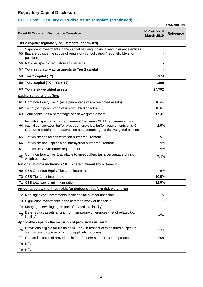# **PD 1: Post 1 January 2019 disclosure template (continued)**

|     |                                                                                                                                                                                                                                         |                                   | <b>US\$ million</b> |
|-----|-----------------------------------------------------------------------------------------------------------------------------------------------------------------------------------------------------------------------------------------|-----------------------------------|---------------------|
|     | <b>Basel III Common Disclosure Template</b>                                                                                                                                                                                             | PIR as on 31<br><b>March 2019</b> | <b>Reference</b>    |
|     | Tier 2 capital: regulatory adjustments (continued)                                                                                                                                                                                      |                                   |                     |
|     | Significant investments in the capital banking, financial and insurance entities<br>55 that are outside the scope of regulatory consolidation (net of eligible short<br>positions)                                                      |                                   |                     |
|     | 56 National specific regulatory adjustments                                                                                                                                                                                             |                                   |                     |
|     | 57 Total regulatory adjustments to Tier 2 capital                                                                                                                                                                                       |                                   |                     |
|     | 58 Tier 2 capital (T2)                                                                                                                                                                                                                  | 174                               |                     |
|     | 59 Total capital (TC = $T1 + T2$ )                                                                                                                                                                                                      | 4,296                             |                     |
|     | 60 Total risk weighted assets                                                                                                                                                                                                           | 24,792                            |                     |
|     | <b>Capital ratios and buffers</b>                                                                                                                                                                                                       |                                   |                     |
|     | 61 Common Equity Tier 1 (as a percentage of risk weighted assets)                                                                                                                                                                       | 16.4%                             |                     |
|     | 62 Tier 1 (as a percentage of risk weighted assets)                                                                                                                                                                                     | 16.6%                             |                     |
|     | 63 Total capital (as a percentage of risk weighted assets)                                                                                                                                                                              | 17.3%                             |                     |
|     | Institution specific buffer requirement (minimum CET1 requirement plus<br>64 capital conservation buffer plus countercyclical buffer requirements plus G-<br>SIB buffer requirement, expressed as a percentage of risk weighted assets) | 2.5%                              |                     |
| 65  | of which: capital conservation buffer requirement                                                                                                                                                                                       | 2.5%                              |                     |
| 66  | of which: bank specific countercyclical buffer requirement                                                                                                                                                                              | N/A                               |                     |
| 67  | of which: G-SIB buffer requirement                                                                                                                                                                                                      | N/A                               |                     |
| 68  | Common Equity Tier 1 available to meet buffers (as a percentage of risk<br>weighted assets)                                                                                                                                             | 7.4%                              |                     |
|     | National minima including CBB (where different from Basel III)                                                                                                                                                                          |                                   |                     |
|     | 69 CBB Common Equity Tier 1 minimum ratio                                                                                                                                                                                               | 9%                                |                     |
|     | 70 CBB Tier 1 minimum ratio                                                                                                                                                                                                             | 10.5%                             |                     |
|     | 71 CBB total capital minimum ratio                                                                                                                                                                                                      | 12.5%                             |                     |
|     | Amounts below the thresholds for deduction (before risk weighting)                                                                                                                                                                      |                                   |                     |
|     | 72 Non-significant investments in the capital of other financials                                                                                                                                                                       | 5                                 |                     |
| 73  | Significant investments in the common stock of financials                                                                                                                                                                               | 17                                |                     |
| (4) | Mortgage servicing rights (net of related tax liability)                                                                                                                                                                                |                                   |                     |
| 75  | Deferred tax assets arising from temporary differences (net of related tax<br>liability)                                                                                                                                                | 101                               |                     |
|     | Applicable caps on the inclusion of provisions in Tier 2                                                                                                                                                                                |                                   |                     |
| 76  | Provisions eligible for inclusion in Tier 2 in respect of exposures subject to<br>standardised approach (prior to application of cap)                                                                                                   | 174                               |                     |
| 77  | Cap on inclusion of provisions in Tier 2 under standardised approach                                                                                                                                                                    | 268                               |                     |
|     | 78 N/A                                                                                                                                                                                                                                  |                                   |                     |
|     | 79 N/A                                                                                                                                                                                                                                  |                                   |                     |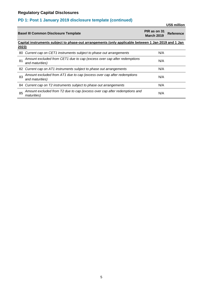# **PD 1: Post 1 January 2019 disclosure template (continued)**

|       |                                                                                                     |                                   | US\$ million     |
|-------|-----------------------------------------------------------------------------------------------------|-----------------------------------|------------------|
|       | <b>Basel III Common Disclosure Template</b>                                                         | PIR as on 31<br><b>March 2019</b> | <b>Reference</b> |
|       | Capital instruments subject to phase-out arrangements (only applicable between 1 Jan 2019 and 1 Jan |                                   |                  |
| 2023) |                                                                                                     |                                   |                  |
| 80.   | Current cap on CET1 instruments subject to phase out arrangements                                   | N/A                               |                  |
| 81    | Amount excluded from CET1 due to cap (excess over cap after redemptions<br>and maturities)          | N/A                               |                  |
|       | 82 Current cap on AT1 instruments subject to phase out arrangements                                 | N/A                               |                  |
| 83    | Amount excluded from AT1 due to cap (excess over cap after redemptions<br>and maturities)           | N/A                               |                  |
|       | 84 Current cap on T2 instruments subject to phase out arrangements                                  | N/A                               |                  |
| 85    | Amount excluded from T2 due to cap (excess over cap after redemptions and<br><i>maturities</i> )    | N/A                               |                  |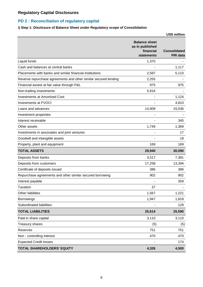### **PD 2 : Reconciliation of regulatory capital**

### **i) Step 1: Disclosure of Balance Sheet under Regulatory scope of Consolidation**

|                                                                 |                                                                           | US\$ million                           |
|-----------------------------------------------------------------|---------------------------------------------------------------------------|----------------------------------------|
|                                                                 | <b>Balance sheet</b><br>as in published<br>financial<br><b>statements</b> | <b>Consolidated</b><br><b>PIR data</b> |
| Liquid funds                                                    | 1,370                                                                     |                                        |
| Cash and balances at central banks                              |                                                                           | 1,117                                  |
| Placements with banks and similar financial institutions        | 2,597                                                                     | 5,110                                  |
| Reverse repurchase agreements and other similar secured lending | 2,255                                                                     |                                        |
| Financial assets at fair value through P&L                      | 975                                                                       | 975                                    |
| Non-trading investments                                         | 5,916                                                                     |                                        |
| <b>Investments at Amortized Cost</b>                            |                                                                           | 1,124                                  |
| <b>Investments at FVOCI</b>                                     |                                                                           | 4,810                                  |
| Loans and advances                                              | 14,909                                                                    | 15,036                                 |
| Investment properties                                           |                                                                           |                                        |
| Interest receivable                                             |                                                                           | 345                                    |
| Other assets                                                    | 1,749                                                                     | 1,369                                  |
| Investments in associates and joint ventures                    |                                                                           | 17                                     |
| Goodwill and intangible assets                                  |                                                                           | 18                                     |
| Property, plant and equipment                                   | 169                                                                       | 169                                    |
| <b>TOTAL ASSETS</b>                                             | 29,940                                                                    | 30,090                                 |
| Deposits from banks                                             | 3,517                                                                     | 7,381                                  |
| Deposits from customers                                         | 17,258                                                                    | 13,394                                 |
| Certificate of deposits issued                                  | 386                                                                       | 386                                    |
| Repurchase agreements and other similar secured borrowing       | 902                                                                       | 902                                    |
| Interest payable                                                |                                                                           | 359                                    |
| <b>Taxation</b>                                                 | 37                                                                        |                                        |
| Other liabilities                                               | 1,567                                                                     | 1,221                                  |
| <b>Borrowings</b>                                               | 1,947                                                                     | 1,818                                  |
| Subordinated liabilities                                        |                                                                           | 129                                    |
| <b>TOTAL LIABILITIES</b>                                        | 25,614                                                                    | 25,590                                 |
| Paid-in share capital                                           | 3,110                                                                     | 3,110                                  |
| <b>Treasury shares</b>                                          | (5)                                                                       | (5)                                    |
| Reserves                                                        | 751                                                                       | 751                                    |
| Non - controlling interest                                      | 470                                                                       | 470                                    |
| <b>Expected Credit losses</b>                                   |                                                                           | 174                                    |
| TOTAL SHAREHOLDERS' EQUITY                                      | 4,326                                                                     | 4,500                                  |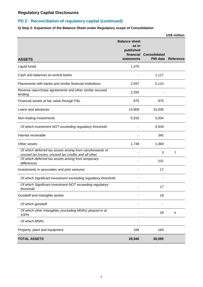### **PD 2 : Reconciliation of regulatory capital (continued)**

### **ii) Step 2: Expansion of the Balance Sheet under Regulatory scope of Consolidation**

|                                                                                                                   |                                                                       |                                 | US\$ million              |
|-------------------------------------------------------------------------------------------------------------------|-----------------------------------------------------------------------|---------------------------------|---------------------------|
| <b>ASSETS</b>                                                                                                     | <b>Balance sheet</b><br>as in<br>published<br>financial<br>statements | <b>Consolidated</b><br>PIR data | <b>Reference</b>          |
| Liquid funds                                                                                                      | 1,370                                                                 |                                 |                           |
| Cash and balances at central banks                                                                                |                                                                       | 1,117                           |                           |
| Placements with banks and similar financial institutions                                                          | 2,597                                                                 | 5,110                           |                           |
| Reverse repurchase agreements and other similar secured<br>lending                                                | 2,255                                                                 |                                 |                           |
| Financial assets at fair value through P&L                                                                        | 975                                                                   | 975                             |                           |
| Loans and advances                                                                                                | 14,909                                                                | 15,036                          |                           |
| Non-trading investments                                                                                           | 5,916                                                                 | 5,934                           |                           |
| Of which investment NOT exceeding regulatory threshold                                                            |                                                                       | 5,934                           |                           |
| Interest receivable                                                                                               |                                                                       | 345                             |                           |
| Other assets                                                                                                      | 1,749                                                                 | 1,369                           |                           |
| Of which deferred tax assets arising from carryforwards of<br>unused tax losses, unused tax credits and all other |                                                                       | 3                               | f                         |
| Of which deferred tax assets arising from temporary<br>differences                                                |                                                                       | 101                             |                           |
| Investments in associates and joint ventures                                                                      |                                                                       | 17                              |                           |
| Of which Significant investment exceeding regulatory threshold                                                    |                                                                       |                                 |                           |
| Of which Significant investment NOT exceeding regulatory<br>threshold                                             |                                                                       | 17                              |                           |
| Goodwill and intangible assets                                                                                    |                                                                       | 18                              |                           |
| Of which goodwill                                                                                                 |                                                                       |                                 |                           |
| Of which other intangibles (excluding MSRs) phased in at<br>100%                                                  |                                                                       | 18                              | $\boldsymbol{\mathsf{e}}$ |
| Of which MSRs                                                                                                     |                                                                       |                                 |                           |
| Property, plant and equipment                                                                                     | 169                                                                   | 169                             |                           |
| <b>TOTAL ASSETS</b>                                                                                               | 29,940                                                                | 30,090                          |                           |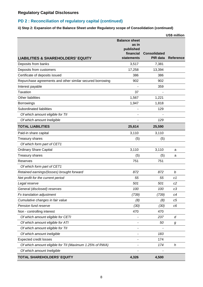### **PD 2 : Reconciliation of regulatory capital (continued)**

### **ii) Step 2: Expansion of the Balance Sheet under Regulatory scope of Consolidation (continued)**

|                                                           |                                                                       |                                        | US\$ million     |
|-----------------------------------------------------------|-----------------------------------------------------------------------|----------------------------------------|------------------|
| <b>LIABILITIES &amp; SHAREHOLDERS' EQUITY</b>             | <b>Balance sheet</b><br>as in<br>published<br>financial<br>statements | <b>Consolidated</b><br><b>PIR data</b> | <b>Reference</b> |
| Deposits from banks                                       | 3,517                                                                 | 7,381                                  |                  |
| Deposits from customers                                   | 17,258                                                                | 13,394                                 |                  |
| Certificate of deposits issued                            | 386                                                                   | 386                                    |                  |
| Repurchase agreements and other similar secured borrowing | 902                                                                   | 902                                    |                  |
| Interest payable                                          |                                                                       | 359                                    |                  |
| Taxation                                                  | 37                                                                    |                                        |                  |
| Other liabilities                                         | 1,567                                                                 | 1,221                                  |                  |
| <b>Borrowings</b>                                         | 1,947                                                                 | 1,818                                  |                  |
| Subordinated liabilities                                  |                                                                       | 129                                    |                  |
| Of which amount eligible for TII                          |                                                                       |                                        |                  |
| Of which amount Ineligible                                |                                                                       | 129                                    |                  |
| <b>TOTAL LIABILITIES</b>                                  | 25,614                                                                | 25,590                                 |                  |
| Paid-in share capital                                     | 3,110                                                                 | 3,110                                  |                  |
| <b>Treasury shares</b>                                    | (5)                                                                   | (5)                                    |                  |
| Of which form part of CET1                                |                                                                       |                                        |                  |
| <b>Ordinary Share Capital</b>                             | 3,110                                                                 | 3,110                                  | a                |
| Treasury shares                                           | (5)                                                                   | (5)                                    | a                |
| <b>Reserves</b>                                           | 751                                                                   | 751                                    |                  |
| Of which form part of CET1                                |                                                                       |                                        |                  |
| Retained earnings/(losses) brought forward                | 872                                                                   | 872                                    | b                |
| Net profit for the current period                         | 55                                                                    | 55                                     | c1               |
| Legal reserve                                             | 501                                                                   | 501                                    | c2               |
| General (disclosed) reserves                              | 100                                                                   | 100                                    | c3               |
| Fx translation adjustment                                 | (739)                                                                 | (739)                                  | c4               |
| Cumulative changes in fair value                          | (8)                                                                   | (8)                                    | c5               |
| Pension fund reserve                                      | (30)                                                                  | (30)                                   | c6               |
| Non - controlling interest                                | 470                                                                   | 470                                    |                  |
| Of which amount eligible for CETI                         |                                                                       | 237                                    | d                |
| Of which amount eligible for ATI                          |                                                                       | 50                                     | g                |
| Of which amount eligible for TII                          |                                                                       |                                        |                  |
| Of which amount ineligible                                |                                                                       | 183                                    |                  |
| <b>Expected credit losses</b>                             |                                                                       | 174                                    |                  |
| Of which amount eligible for TII (Maximum 1.25% of RWA)   |                                                                       | 174                                    | h                |
| Of which amount Ineligible                                |                                                                       |                                        |                  |
| TOTAL SHAREHOLDERS' EQUITY                                | 4,326                                                                 | 4,500                                  |                  |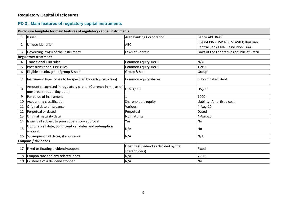# **PD 3 : Main features of regulatory capital instruments**

| Disclosure template for main features of regulatory capital instruments |                                                                                                |                                                       |                                           |  |
|-------------------------------------------------------------------------|------------------------------------------------------------------------------------------------|-------------------------------------------------------|-------------------------------------------|--|
| $\mathbf{1}$                                                            | Issuer                                                                                         | <b>Arab Banking Corporation</b>                       | <b>Banco ABC Brasil</b>                   |  |
| $\overline{2}$                                                          | Unique identifier                                                                              | <b>ABC</b>                                            | EI2084396 - USP0763MBW03; Brazilian       |  |
|                                                                         |                                                                                                |                                                       | <b>Central Bank CMN Resolution 3444</b>   |  |
| 3                                                                       | Governing law(s) of the instrument                                                             | Laws of Bahrain                                       | Laws of the Federative republic of Brazil |  |
|                                                                         | <b>Regulatory treatment</b>                                                                    |                                                       |                                           |  |
| 4                                                                       | <b>Transitional CBB rules</b>                                                                  | Common Equity Tier 1                                  | N/A                                       |  |
| 5                                                                       | Post-transitional CBB rules                                                                    | Common Equity Tier 1                                  | Tier <sub>2</sub>                         |  |
| 6                                                                       | Eligible at solo/group/group & solo                                                            | Group & Solo                                          | Group                                     |  |
| 7                                                                       | Instrument type (types to be specified by each jurisdiction)                                   | Common equity shares                                  | Subordinated debt                         |  |
| 8                                                                       | Amount recognised in regulatory capital (Currency in mil, as of<br>most recent reporting date) | US\$ 3,110                                            | US\$ nil                                  |  |
| 9                                                                       | Par value of instrument                                                                        |                                                       | 1000                                      |  |
| 10                                                                      | Accounting classification                                                                      | Shareholders equity                                   | Liability- Amortised cost                 |  |
| 11                                                                      | Original date of issuance                                                                      | Various                                               | 4-Aug-10                                  |  |
| 12                                                                      | Perpetual or dated                                                                             | Perpetual                                             | Dated                                     |  |
| 13                                                                      | Original maturity date                                                                         | No maturity                                           | 4-Aug-20                                  |  |
| 14                                                                      | Issuer call subject to prior supervisory approval                                              | Yes                                                   | <b>No</b>                                 |  |
| 15                                                                      | Optional call date, contingent call dates and redemption<br>amount                             | N/A                                                   | No                                        |  |
|                                                                         | 16 Subsequent call dates, if applicable                                                        | N/A                                                   | N/A                                       |  |
| <b>Coupons / dividends</b>                                              |                                                                                                |                                                       |                                           |  |
| 17                                                                      | Fixed or floating dividend/coupon                                                              | Floating (Dividend as decided by the<br>shareholders) | Fixed                                     |  |
| 18                                                                      | Coupon rate and any related index                                                              | N/A                                                   | 7.875                                     |  |
| 19                                                                      | Existence of a dividend stopper                                                                | N/A                                                   | <b>No</b>                                 |  |